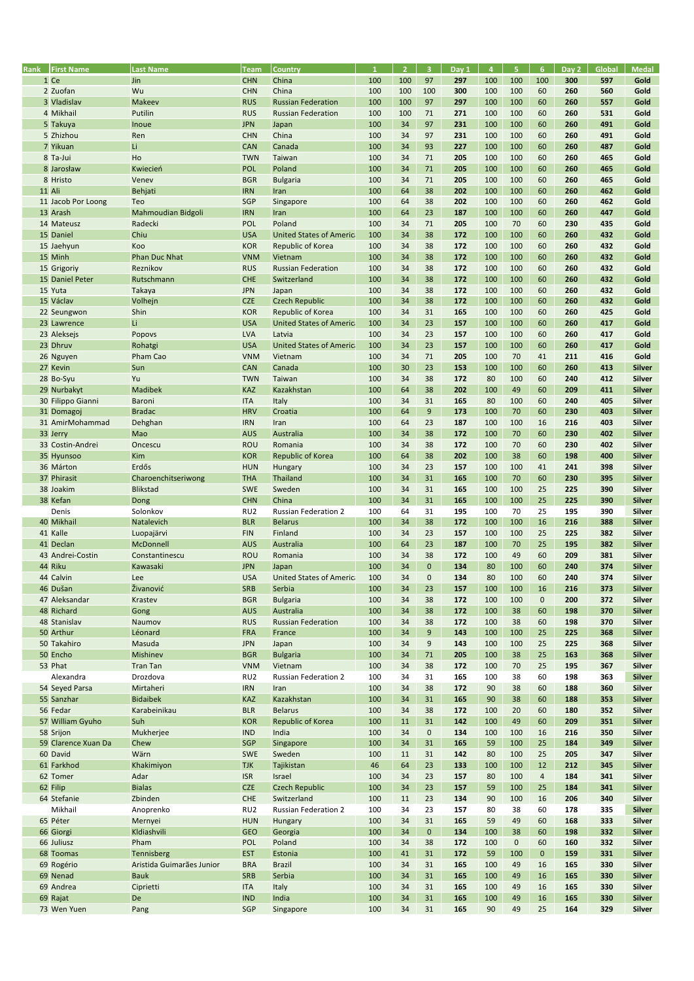| Rank   | <b>First Name</b>   | <b>Last Name</b>          | <b>Team</b>     | Country                         | $\mathbf{1}$ | $\overline{2}$ | $\overline{3}$ | Day 1 | $\overline{4}$ | 5 <sub>1</sub> | 6 <sup>1</sup> | Day 2 | Global | <b>Medal</b>  |
|--------|---------------------|---------------------------|-----------------|---------------------------------|--------------|----------------|----------------|-------|----------------|----------------|----------------|-------|--------|---------------|
|        | 1 Ce                | Jin                       | <b>CHN</b>      | China                           | 100          | 100            | 97             | 297   | 100            | 100            | 100            | 300   | 597    | Gold          |
|        | 2 Zuofan            | Wu                        | <b>CHN</b>      | China                           | 100          | 100            | 100            | 300   | 100            | 100            | 60             | 260   | 560    | Gold          |
|        | 3 Vladislav         | Makeev                    | <b>RUS</b>      | <b>Russian Federation</b>       | 100          | 100            | 97             | 297   | 100            | 100            | 60             | 260   | 557    | Gold          |
|        | 4 Mikhail           | Putilin                   | <b>RUS</b>      | <b>Russian Federation</b>       | 100          | 100            | 71             | 271   | 100            | 100            | 60             | 260   | 531    | Gold          |
|        | 5 Takuya            | Inoue                     | <b>JPN</b>      | Japan                           | 100          | 34             | 97             | 231   | 100            | 100            | 60             | 260   | 491    | Gold          |
|        | 5 Zhizhou           | Ren                       | <b>CHN</b>      | China                           | 100          | 34             | 97             | 231   | 100            | 100            | 60             | 260   | 491    | Gold          |
|        | 7 Yikuan            | Li                        |                 |                                 | 100          | 34             |                | 227   | 100            |                | 60             | 260   | 487    | Gold          |
|        |                     |                           | <b>CAN</b>      | Canada                          |              |                | 93             |       |                | 100            |                |       |        |               |
|        | 8 Ta-Jui            | Ho                        | <b>TWN</b>      | Taiwan                          | 100          | 34             | 71             | 205   | 100            | 100            | 60             | 260   | 465    | Gold          |
|        | 8 Jarosław          | Kwiecień                  | <b>POL</b>      | Poland                          | 100          | 34             | 71             | 205   | 100            | 100            | 60             | 260   | 465    | Gold          |
|        | 8 Hristo            | Venev                     | <b>BGR</b>      | <b>Bulgaria</b>                 | 100          | 34             | 71             | 205   | 100            | 100            | 60             | 260   | 465    | Gold          |
| 11 Ali |                     | Behjati                   | <b>IRN</b>      | Iran                            | 100          | 64             | 38             | 202   | 100            | 100            | 60             | 260   | 462    | Gold          |
|        | 11 Jacob Por Loong  | Teo                       | SGP             | Singapore                       | 100          | 64             | 38             | 202   | 100            | 100            | 60             | 260   | 462    | Gold          |
|        | 13 Arash            | Mahmoudian Bidgoli        | <b>IRN</b>      | Iran                            | 100          | 64             | 23             | 187   | 100            | 100            | 60             | 260   | 447    | Gold          |
|        | 14 Mateusz          | Radecki                   | <b>POL</b>      | Poland                          | 100          | 34             | 71             | 205   | 100            | 70             | 60             | 230   | 435    | Gold          |
|        | 15 Daniel           | Chiu                      | <b>USA</b>      | <b>United States of America</b> | 100          | 34             | 38             | 172   | 100            | 100            | 60             | 260   | 432    | Gold          |
|        | 15 Jaehyun          | Koo                       | <b>KOR</b>      | Republic of Korea               | 100          | 34             | 38             | 172   | 100            | 100            | 60             | 260   | 432    | Gold          |
|        | 15 Minh             | <b>Phan Duc Nhat</b>      | <b>VNM</b>      | Vietnam                         | 100          | 34             | 38             | 172   | 100            | 100            | 60             | 260   | 432    | Gold          |
|        | 15 Grigoriy         | Reznikov                  | <b>RUS</b>      | <b>Russian Federation</b>       | 100          | 34             | 38             | 172   | 100            | 100            | 60             | 260   | 432    | Gold          |
|        | 15 Daniel Peter     | Rutschmann                | <b>CHE</b>      | Switzerland                     | 100          | 34             | 38             | 172   | 100            | 100            | 60             | 260   | 432    | Gold          |
|        | 15 Yuta             |                           | <b>JPN</b>      |                                 | 100          | 34             |                | 172   | 100            | 100            | 60             | 260   | 432    | Gold          |
|        |                     | <b>Takaya</b>             |                 | Japan                           |              |                | 38             |       |                |                |                |       |        |               |
|        | 15 Václav           | Volhejn                   | <b>CZE</b>      | <b>Czech Republic</b>           | 100          | 34             | 38             | 172   | 100            | 100            | 60             | 260   | 432    | Gold          |
|        | 22 Seungwon         | Shin                      | <b>KOR</b>      | Republic of Korea               | 100          | 34             | 31             | 165   | 100            | 100            | 60             | 260   | 425    | Gold          |
|        | 23 Lawrence         | Li                        | <b>USA</b>      | <b>United States of America</b> | 100          | 34             | 23             | 157   | 100            | 100            | 60             | 260   | 417    | Gold          |
|        | 23 Aleksejs         | Popovs                    | <b>LVA</b>      | Latvia                          | 100          | 34             | 23             | 157   | 100            | 100            | 60             | 260   | 417    | Gold          |
|        | 23 Dhruv            | Rohatgi                   | <b>USA</b>      | <b>United States of America</b> | 100          | 34             | 23             | 157   | 100            | 100            | 60             | 260   | 417    | Gold          |
|        | 26 Nguyen           | Pham Cao                  | <b>VNM</b>      | Vietnam                         | 100          | 34             | 71             | 205   | 100            | 70             | 41             | 211   | 416    | Gold          |
|        | 27 Kevin            | Sun                       | <b>CAN</b>      | Canada                          | 100          | 30             | 23             | 153   | 100            | 100            | 60             | 260   | 413    | <b>Silver</b> |
|        | 28 Bo-Syu           | Yu                        | <b>TWN</b>      | Taiwan                          | 100          | 34             | 38             | 172   | 80             | 100            | 60             | 240   | 412    | <b>Silver</b> |
|        | 29 Nurbakyt         | <b>Madibek</b>            | <b>KAZ</b>      | Kazakhstan                      | 100          | 64             | 38             | 202   | 100            | 49             | 60             | 209   | 411    | <b>Silver</b> |
|        | 30 Filippo Gianni   | Baroni                    | <b>ITA</b>      | Italy                           | 100          | 34             | 31             | 165   | 80             | 100            | 60             | 240   | 405    | <b>Silver</b> |
|        | 31 Domagoj          | <b>Bradac</b>             | <b>HRV</b>      | Croatia                         | 100          | 64             | 9              | 173   | 100            | 70             | 60             | 230   | 403    | <b>Silver</b> |
|        | 31 AmirMohammad     | Dehghan                   | <b>IRN</b>      | Iran                            | 100          | 64             | 23             | 187   | 100            | 100            | 16             | 216   | 403    | <b>Silver</b> |
|        |                     | Mao                       | <b>AUS</b>      | Australia                       | 100          | 34             | 38             | 172   | 100            | 70             | 60             | 230   | 402    | <b>Silver</b> |
|        | 33 Jerry            |                           |                 |                                 |              |                |                |       |                |                |                |       |        |               |
|        | 33 Costin-Andrei    | Oncescu                   | <b>ROU</b>      | Romania                         | 100          | 34             | 38             | 172   | 100            | 70             | 60             | 230   | 402    | <b>Silver</b> |
|        | 35 Hyunsoo          | Kim                       | <b>KOR</b>      | Republic of Korea               | 100          | 64             | 38             | 202   | 100            | 38             | 60             | 198   | 400    | <b>Silver</b> |
|        | 36 Márton           | Erdős                     | <b>HUN</b>      | Hungary                         | 100          | 34             | 23             | 157   | 100            | 100            | 41             | 241   | 398    | <b>Silver</b> |
|        | 37 Phirasit         | Charoenchitseriwong       | <b>THA</b>      | Thailand                        | 100          | 34             | 31             | 165   | 100            | 70             | 60             | 230   | 395    | <b>Silver</b> |
|        | 38 Joakim           | <b>Blikstad</b>           | <b>SWE</b>      | Sweden                          | 100          | 34             | 31             | 165   | 100            | 100            | 25             | 225   | 390    | <b>Silver</b> |
|        | 38 Kefan            | Dong                      | <b>CHN</b>      | China                           | 100          | 34             | 31             | 165   | 100            | 100            | 25             | 225   | 390    | <b>Silver</b> |
|        | Denis               | Solonkov                  | RU <sub>2</sub> | Russian Federation 2            | 100          | 64             | 31             | 195   | 100            | 70             | 25             | 195   | 390    | <b>Silver</b> |
|        | 40 Mikhail          | Natalevich                | <b>BLR</b>      | <b>Belarus</b>                  | 100          | 34             | 38             | 172   | 100            | 100            | 16             | 216   | 388    | <b>Silver</b> |
|        | 41 Kalle            | Luopajärvi                | <b>FIN</b>      | Finland                         | 100          | 34             | 23             | 157   | 100            | 100            | 25             | 225   | 382    | <b>Silver</b> |
|        | 41 Declan           | McDonnell                 | <b>AUS</b>      | Australia                       | 100          | 64             | 23             | 187   | 100            | 70             | 25             | 195   | 382    | <b>Silver</b> |
|        | 43 Andrei-Costin    | Constantinescu            | <b>ROU</b>      | Romania                         | 100          | 34             | 38             | 172   | 100            | 49             | 60             | 209   | 381    | <b>Silver</b> |
|        | 44 Riku             | Kawasaki                  | <b>JPN</b>      | Japan                           | 100          | 34             | $\mathbf{0}$   | 134   | 80             | 100            | 60             | 240   | 374    | <b>Silver</b> |
|        | 44 Calvin           | Lee                       | <b>USA</b>      | <b>United States of America</b> | 100          | 34             | $\mathbf{0}$   | 134   | 80             | 100            | 60             | 240   | 374    | Silver        |
|        | 46 Dušan            | <b>Živanović</b>          |                 | Serbia                          |              | 34             | 23             | 157   | 100            | 100            | 16             | 216   | 373    | <b>Silver</b> |
|        |                     |                           | <b>SRB</b>      |                                 | 100          |                |                |       |                |                |                |       |        |               |
|        | 47 Aleksandar       | Krastev                   | <b>BGR</b>      | <b>Bulgaria</b>                 | 100          | 34             | 38             | 172   | 100            | 100            | $\pmb{0}$      | 200   | 372    | <b>Silver</b> |
|        | 48 Richard          | Gong                      | <b>AUS</b>      | Australia                       | 100          | 34             | 38             | 172   | 100            | 38             | 60             | 198   | 370    | <b>Silver</b> |
|        | 48 Stanislav        | Naumov                    | <b>RUS</b>      | <b>Russian Federation</b>       | 100          | 34             | 38             | 172   | 100            | 38             | 60             | 198   | 370    | <b>Silver</b> |
|        | 50 Arthur           | Léonard                   | <b>FRA</b>      | France                          | 100          | 34             | 9              | 143   | 100            | 100            | 25             | 225   | 368    | <b>Silver</b> |
|        | 50 Takahiro         | Masuda                    | <b>JPN</b>      | Japan                           | 100          | 34             | 9              | 143   | 100            | 100            | 25             | 225   | 368    | <b>Silver</b> |
|        | 50 Encho            | Mishinev                  | <b>BGR</b>      | <b>Bulgaria</b>                 | 100          | 34             | 71             | 205   | 100            | 38             | 25             | 163   | 368    | <b>Silver</b> |
|        | 53 Phat             | <b>Tran Tan</b>           | <b>VNM</b>      | Vietnam                         | 100          | 34             | 38             | 172   | 100            | 70             | 25             | 195   | 367    | <b>Silver</b> |
|        | Alexandra           | Drozdova                  | RU <sub>2</sub> | Russian Federation 2            | 100          | 34             | 31             | 165   | 100            | 38             | 60             | 198   | 363    | <b>Silver</b> |
|        | 54 Seyed Parsa      | Mirtaheri                 | <b>IRN</b>      | Iran                            | 100          | 34             | 38             | 172   | 90             | 38             | 60             | 188   | 360    | <b>Silver</b> |
|        | 55 Sanzhar          | <b>Bidaibek</b>           | <b>KAZ</b>      | Kazakhstan                      | 100          | 34             | 31             | 165   | 90             | 38             | 60             | 188   | 353    | <b>Silver</b> |
|        | 56 Fedar            | Karabeinikau              | <b>BLR</b>      | <b>Belarus</b>                  | 100          | 34             | 38             | 172   | 100            | 20             | 60             | 180   | 352    | <b>Silver</b> |
|        | 57 William Gyuho    | Suh                       | <b>KOR</b>      | Republic of Korea               | 100          | 11             | 31             | 142   | 100            | 49             | 60             | 209   | 351    | <b>Silver</b> |
|        | 58 Srijon           | Mukherjee                 | <b>IND</b>      | India                           | 100          | 34             | $\pmb{0}$      | 134   | 100            | 100            | 16             | 216   | 350    | <b>Silver</b> |
|        | 59 Clarence Xuan Da | Chew                      | <b>SGP</b>      | Singapore                       | 100          | 34             | 31             | 165   | 59             | 100            | 25             | 184   | 349    | <b>Silver</b> |
|        |                     |                           |                 |                                 |              |                |                |       |                |                |                |       |        |               |
|        | 60 David            | Wärn                      | <b>SWE</b>      | Sweden                          | 100          | 11             | 31             | 142   | 80             | 100            | 25             | 205   | 347    | <b>Silver</b> |
|        | 61 Farkhod          | Khakimiyon                | <b>TJK</b>      | Tajikistan                      | 46           | 64             | 23             | 133   | 100            | 100            | 12             | 212   | 345    | <b>Silver</b> |
|        | 62 Tomer            | Adar                      | <b>ISR</b>      | Israel                          | 100          | 34             | 23             | 157   | 80             | 100            | $\overline{a}$ | 184   | 341    | <b>Silver</b> |
|        | 62 Filip            | <b>Bialas</b>             | <b>CZE</b>      | <b>Czech Republic</b>           | 100          | 34             | 23             | 157   | 59             | 100            | 25             | 184   | 341    | <b>Silver</b> |
|        | 64 Stefanie         | Zbinden                   | <b>CHE</b>      | Switzerland                     | 100          | 11             | 23             | 134   | 90             | 100            | 16             | 206   | 340    | <b>Silver</b> |
|        | Mikhail             | Anoprenko                 | RU <sub>2</sub> | Russian Federation 2            | 100          | 34             | 23             | 157   | 80             | 38             | 60             | 178   | 335    | <b>Silver</b> |
|        | 65 Péter            | Mernyei                   | <b>HUN</b>      | Hungary                         | 100          | 34             | 31             | 165   | 59             | 49             | 60             | 168   | 333    | <b>Silver</b> |
|        | 66 Giorgi           | Kldiashvili               | <b>GEO</b>      | Georgia                         | 100          | 34             | $\mathbf 0$    | 134   | 100            | 38             | 60             | 198   | 332    | <b>Silver</b> |
|        | 66 Juliusz          | Pham                      | POL             | Poland                          | 100          | 34             | 38             | 172   | 100            | 0              | 60             | 160   | 332    | <b>Silver</b> |
|        | 68 Toomas           | Tennisberg                | <b>EST</b>      | Estonia                         | 100          | 41             | 31             | 172   | 59             | 100            | $\mathbf 0$    | 159   | 331    | <b>Silver</b> |
|        | 69 Rogério          | Aristida Guimarães Junior | <b>BRA</b>      | <b>Brazil</b>                   | 100          | 34             | 31             | 165   | 100            | 49             | 16             | 165   | 330    | <b>Silver</b> |
|        | 69 Nenad            | <b>Bauk</b>               | <b>SRB</b>      | Serbia                          | 100          | 34             | 31             | 165   | 100            | 49             | 16             | 165   | 330    | <b>Silver</b> |
|        | 69 Andrea           | Ciprietti                 | <b>ITA</b>      | Italy                           | 100          | 34             | 31             | 165   | 100            | 49             | 16             | 165   | 330    | <b>Silver</b> |
|        | 69 Rajat            | De                        | <b>IND</b>      | India                           | 100          | 34             | 31             | 165   | 100            | 49             | 16             | 165   | 330    | <b>Silver</b> |
|        | 73 Wen Yuen         |                           |                 |                                 |              | 34             | 31             |       |                | 49             | 25             |       | 329    | Silver        |
|        |                     | Pang                      | <b>SGP</b>      | Singapore                       | 100          |                |                | 165   | 90             |                |                | 164   |        |               |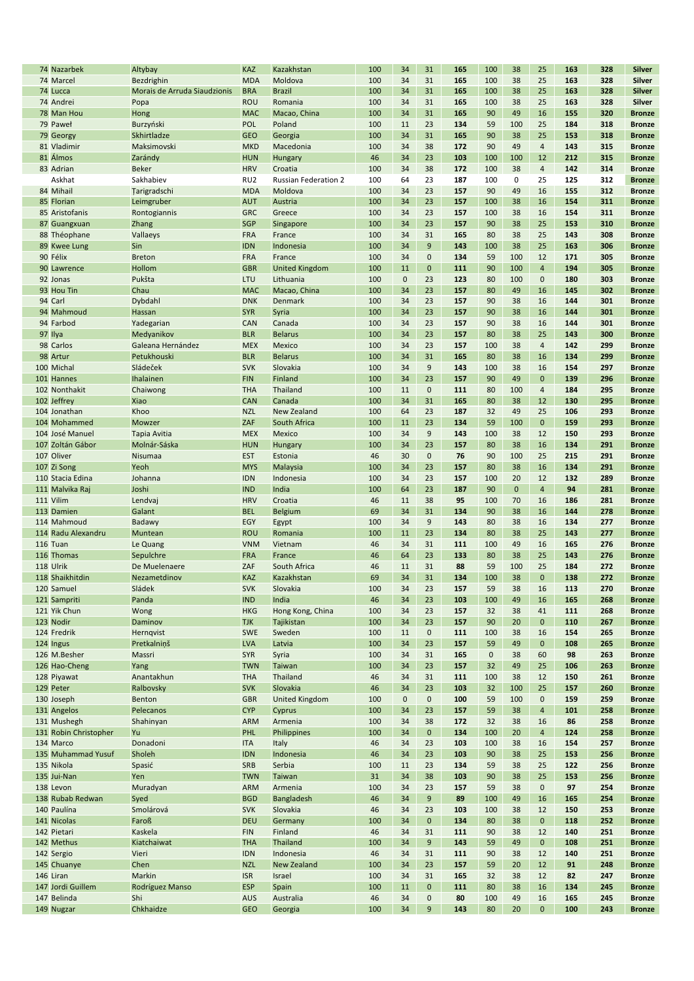| 74 Nazarbek               | Altybay                      | <b>KAZ</b>               | Kazakhstan                  | 100       | 34          | 31           | 165       | 100         | 38           | 25                 | 163        | 328        | <b>Silver</b>                  |
|---------------------------|------------------------------|--------------------------|-----------------------------|-----------|-------------|--------------|-----------|-------------|--------------|--------------------|------------|------------|--------------------------------|
| 74 Marcel                 | Bezdrighin                   | <b>MDA</b>               | Moldova                     | 100       | 34          | 31           | 165       | 100         | 38           | 25                 | 163        | 328        | Silver                         |
| 74 Lucca                  | Morais de Arruda Siaudzionis | <b>BRA</b>               | <b>Brazil</b>               | 100       | 34          | 31           | 165       | 100         | 38           | 25                 | 163        | 328        | <b>Silver</b>                  |
| 74 Andrei                 |                              | <b>ROU</b>               | Romania                     | 100       | 34          | 31           | 165       | 100         | 38           | 25                 | 163        | 328        | Silver                         |
|                           | Popa                         |                          |                             |           |             |              |           |             |              |                    |            |            |                                |
| 78 Man Hou                | Hong                         | <b>MAC</b>               | Macao, China                | 100       | 34          | 31           | 165       | 90          | 49           | 16                 | 155        | 320        | <b>Bronze</b>                  |
| 79 Paweł                  | Burzyński                    | POL                      | Poland                      | 100       | 11          | 23           | 134       | 59          | 100          | 25                 | 184        | 318        | <b>Bronze</b>                  |
| 79 Georgy                 | Skhirtladze                  | <b>GEO</b>               | Georgia                     | 100       | 34          | 31           | 165       | 90          | 38           | 25                 | 153        | 318        | <b>Bronze</b>                  |
|                           |                              |                          |                             |           |             |              |           |             |              |                    |            |            |                                |
| 81 Vladimir               | Maksimovski                  | <b>MKD</b>               | Macedonia                   | 100       | 34          | 38           | 172       | 90          | 49           | $\overline{4}$     | 143        | 315        | <b>Bronze</b>                  |
| 81 Álmos                  | Zarándy                      | <b>HUN</b>               | <b>Hungary</b>              | 46        | 34          | 23           | 103       | 100         | 100          | 12                 | 212        | 315        | <b>Bronze</b>                  |
| 83 Adrian                 | <b>Beker</b>                 | <b>HRV</b>               | Croatia                     | 100       | 34          | 38           | 172       | 100         | 38           | $\overline{4}$     | 142        | 314        | <b>Bronze</b>                  |
|                           |                              |                          |                             |           |             |              |           |             |              |                    |            |            |                                |
| Askhat                    | Sakhabiev                    | RU <sub>2</sub>          | <b>Russian Federation 2</b> | 100       | 64          | 23           | 187       | 100         | 0            | 25                 | 125        | 312        | <b>Bronze</b>                  |
| 84 Mihail                 | Tarigradschi                 | <b>MDA</b>               | Moldova                     | 100       | 34          | 23           | 157       | 90          | 49           | 16                 | 155        | 312        | <b>Bronze</b>                  |
| 85 Florian                | Leimgruber                   | <b>AUT</b>               | Austria                     | 100       | 34          | 23           | 157       | 100         | 38           | 16                 | 154        | 311        | <b>Bronze</b>                  |
|                           |                              |                          |                             |           |             |              |           |             |              |                    |            |            |                                |
| 85 Aristofanis            | Rontogiannis                 | <b>GRC</b>               | Greece                      | 100       | 34          | 23           | 157       | 100         | 38           | 16                 | 154        | 311        | <b>Bronze</b>                  |
| 87 Guangxuan              | Zhang                        | <b>SGP</b>               | Singapore                   | 100       | 34          | 23           | 157       | 90          | 38           | 25                 | 153        | 310        | <b>Bronze</b>                  |
| 88 Théophane              | Vallaeys                     | <b>FRA</b>               | France                      | 100       | 34          | 31           | 165       | 80          | 38           | 25                 | 143        | 308        | <b>Bronze</b>                  |
|                           |                              |                          |                             |           |             | 9            |           |             |              |                    | 163        | 306        |                                |
| 89 Kwee Lung              | Sin                          | <b>IDN</b>               | Indonesia                   | 100       | 34          |              | 143       | 100         | 38           | 25                 |            |            | <b>Bronze</b>                  |
| 90 Félix                  | <b>Breton</b>                | <b>FRA</b>               | France                      | 100       | 34          | $\mathbf 0$  | 134       | 59          | 100          | 12                 | 171        | 305        | <b>Bronze</b>                  |
| 90 Lawrence               | Hollom                       | <b>GBR</b>               | <b>United Kingdom</b>       | 100       | 11          | $\mathbf{0}$ | 111       | 90          | 100          | $\overline{4}$     | 194        | 305        | <b>Bronze</b>                  |
|                           |                              |                          |                             |           |             |              | 123       |             | 100          | $\mathbf 0$        |            |            |                                |
| 92 Jonas                  | Pukšta                       | LTU                      | Lithuania                   | 100       | $\pmb{0}$   | 23           |           | 80          |              |                    | 180        | 303        | <b>Bronze</b>                  |
| 93 Hou Tin                | Chau                         | <b>MAC</b>               | Macao, China                | 100       | 34          | 23           | 157       | 80          | 49           | 16                 | 145        | 302        | <b>Bronze</b>                  |
| 94 Carl                   | Dybdahl                      | <b>DNK</b>               | Denmark                     | 100       | 34          | 23           | 157       | 90          | 38           | 16                 | 144        | 301        | <b>Bronze</b>                  |
| 94 Mahmoud                |                              | <b>SYR</b>               |                             | 100       | 34          | 23           | 157       | 90          | 38           | 16                 | 144        | 301        | <b>Bronze</b>                  |
|                           | Hassan                       |                          | Syria                       |           |             |              |           |             |              |                    |            |            |                                |
| 94 Farbod                 | Yadegarian                   | CAN                      | Canada                      | 100       | 34          | 23           | 157       | 90          | 38           | 16                 | 144        | 301        | <b>Bronze</b>                  |
| 97 Ilya                   | Medyanikov                   | <b>BLR</b>               | <b>Belarus</b>              | 100       | 34          | 23           | 157       | 80          | 38           | 25                 | 143        | 300        | <b>Bronze</b>                  |
|                           |                              |                          |                             |           |             |              |           |             |              |                    |            |            |                                |
| 98 Carlos                 | Galeana Hernández            | <b>MEX</b>               | Mexico                      | 100       | 34          | 23           | 157       | 100         | 38           | $\overline{4}$     | 142        | 299        | <b>Bronze</b>                  |
| 98 Artur                  | Petukhouski                  | <b>BLR</b>               | <b>Belarus</b>              | 100       | 34          | 31           | 165       | 80          | 38           | 16                 | 134        | 299        | <b>Bronze</b>                  |
| 100 Michal                | Sládeček                     | <b>SVK</b>               | Slovakia                    | 100       | 34          | 9            | 143       | 100         | 38           | 16                 | 154        | 297        | <b>Bronze</b>                  |
| 101 Hannes                | Ihalainen                    | <b>FIN</b>               | Finland                     | 100       | 34          | 23           | 157       | 90          | 49           | $\mathbf{0}$       | 139        | 296        | <b>Bronze</b>                  |
|                           |                              |                          |                             |           |             |              |           |             |              |                    |            |            |                                |
| 102 Nonthakit             | Chaiwong                     | <b>THA</b>               | Thailand                    | 100       | 11          | $\mathbf 0$  | 111       | 80          | 100          | $\overline{4}$     | 184        | 295        | <b>Bronze</b>                  |
| 102 Jeffrey               | Xiao                         | <b>CAN</b>               | Canada                      | 100       | 34          | 31           | 165       | 80          | 38           | 12                 | 130        | 295        | <b>Bronze</b>                  |
| 104 Jonathan              | Khoo                         | <b>NZL</b>               | <b>New Zealand</b>          | 100       | 64          | 23           | 187       | 32          | 49           | 25                 | 106        | 293        | <b>Bronze</b>                  |
|                           |                              |                          |                             |           |             |              |           |             |              |                    |            |            |                                |
| 104 Mohammed              | Mowzer                       | ZAF                      | South Africa                | 100       | 11          | 23           | 134       | 59          | 100          | $\mathbf{0}$       | 159        | 293        | <b>Bronze</b>                  |
| 104 José Manuel           | Tapia Avitia                 | <b>MEX</b>               | Mexico                      | 100       | 34          | 9            | 143       | 100         | 38           | 12                 | 150        | 293        | <b>Bronze</b>                  |
| 107 Zoltán Gábor          | Molnár-Sáska                 | <b>HUN</b>               | Hungary                     | 100       | 34          | 23           | 157       | 80          | 38           | 16                 | 134        | 291        | <b>Bronze</b>                  |
|                           |                              |                          |                             |           |             |              |           |             |              |                    |            |            |                                |
| 107 Oliver                | Nisumaa                      | <b>EST</b>               | Estonia                     | 46        | 30          | $\mathbf 0$  | 76        | 90          | 100          | 25                 | 215        | 291        | <b>Bronze</b>                  |
| 107 Zi Song               | Yeoh                         | <b>MYS</b>               | Malaysia                    | 100       | 34          | 23           | 157       | 80          | 38           | 16                 | 134        | 291        | <b>Bronze</b>                  |
| 110 Stacia Edina          | Johanna                      | <b>IDN</b>               | Indonesia                   | 100       | 34          | 23           | 157       | 100         | 20           | 12                 | 132        | 289        | <b>Bronze</b>                  |
|                           |                              |                          |                             |           |             |              |           |             |              |                    |            |            |                                |
| 111 Malvika Raj           | Joshi                        | <b>IND</b>               | India                       | 100       | 64          | 23           | 187       | 90          | $\mathbf{0}$ | $\overline{4}$     | 94         | 281        | <b>Bronze</b>                  |
| 111 Vilim                 | Lendvaj                      | <b>HRV</b>               | Croatia                     | 46        | 11          | 38           | 95        | 100         | 70           | 16                 | 186        | 281        | <b>Bronze</b>                  |
| 113 Damien                | Galant                       | <b>BEL</b>               | Belgium                     | 69        | 34          | 31           | 134       | 90          | 38           | 16                 | 144        | 278        | <b>Bronze</b>                  |
|                           |                              |                          |                             |           |             |              |           |             |              |                    |            |            |                                |
| 114 Mahmoud               | Badawy                       | EGY                      | Egypt                       | 100       | 34          | 9            | 143       | 80          | 38           | 16                 | 134        | 277        | <b>Bronze</b>                  |
| 114 Radu Alexandru        | Muntean                      | <b>ROU</b>               | Romania                     | 100       | 11          | 23           | 134       | 80          | 38           | 25                 | 143        | 277        | <b>Bronze</b>                  |
| 116 Tuan                  | Le Quang                     | <b>VNM</b>               | Vietnam                     | 46        | 34          | 31           | 111       | 100         | 49           | 16                 | 165        | 276        | <b>Bronze</b>                  |
| 116 Thomas                |                              |                          |                             | 46        | 64          | 23           | 133       |             |              |                    | 143        | 276        |                                |
|                           | Sepulchre                    | <b>FRA</b>               | France                      |           |             |              |           | 80          | 38           | 25                 |            |            | <b>Bronze</b>                  |
| 118 Ulrik                 | De Muelenaere                | ZAF                      | South Africa                | 46        | 11          | 31           | 88        | 59          | 100          | 25                 | 184        | 272        | <b>Bronze</b>                  |
| 118 Shaikhitdin           | Nezametdinov                 | <b>KAZ</b>               | Kazakhstan                  | 69        | 34          | 31           | 134       | 100         | 38           | $\mathbf{0}$       | 138        | 272        | <b>Bronze</b>                  |
| 120 Samuel                | Sládek                       | <b>SVK</b>               | Slovakia                    | 100       | 34          | 23           | 157       | 59          | 38           | 16                 | 113        | 270        | <b>Bronze</b>                  |
|                           |                              |                          |                             |           |             |              |           |             |              |                    |            |            |                                |
| 121 Sampriti              | Panda                        | <b>IND</b>               | India                       | 46        | 34          | 23           | 103       | 100         | 49           | 16                 | 165        | 268        | <b>Bronze</b>                  |
| 121 Yik Chun              | Wong                         | <b>HKG</b>               | Hong Kong, China            | 100       | 34          | 23           | 157       | 32          | 38           | 41                 | 111        | 268        | <b>Bronze</b>                  |
| 123 Nodir                 | Daminov                      | <b>TJK</b>               | Tajikistan                  | 100       | 34          | 23           | 157       | 90          | 20           | $\mathbf{0}$       | 110        | 267        | <b>Bronze</b>                  |
|                           |                              |                          |                             |           |             |              |           |             |              |                    |            |            |                                |
| 124 Fredrik               | Hernqvist                    | <b>SWE</b>               | Sweden                      | 100       | 11          | $\pmb{0}$    | 111       | 100         | 38           | 16                 | 154        | 265        | <b>Bronze</b>                  |
| 124 Ingus                 | Pretkalninš                  | <b>LVA</b>               | Latvia                      | 100       | 34          | 23           | 157       | 59          | 49           | $\mathbf 0$        | 108        | 265        | <b>Bronze</b>                  |
| 126 M.Besher              | Massri                       | <b>SYR</b>               | Syria                       | 100       | 34          | 31           | 165       | $\mathbf 0$ | 38           | 60                 | 98         | 263        | <b>Bronze</b>                  |
|                           |                              |                          |                             |           |             |              |           |             |              |                    |            |            |                                |
| 126 Hao-Cheng             | Yang                         | <b>TWN</b>               | Taiwan                      | 100       | 34          | 23           | 157       | 32          | 49           | 25                 | 106        | 263        | <b>Bronze</b>                  |
| 128 Piyawat               | Anantakhun                   | <b>THA</b>               | Thailand                    | 46        | 34          | 31           | 111       | 100         | 38           | 12                 | 150        | 261        | <b>Bronze</b>                  |
| 129 Peter                 | Ralbovsky                    | <b>SVK</b>               | Slovakia                    | 46        | 34          | 23           | 103       | 32          | 100          | 25                 | 157        | 260        | <b>Bronze</b>                  |
|                           |                              |                          |                             |           |             |              |           |             |              |                    |            |            |                                |
| 130 Joseph                | Benton                       | <b>GBR</b>               | <b>United Kingdom</b>       | 100       | $\mathbf 0$ | $\mathbf 0$  | 100       | 59          | 100          | $\mathbf 0$        | 159        | 259        | <b>Bronze</b>                  |
| 131 Angelos               | Pelecanos                    | <b>CYP</b>               | Cyprus                      | 100       | 34          | 23           | 157       | 59          | 38           | $\overline{4}$     | 101        | 258        | <b>Bronze</b>                  |
| 131 Mushegh               | Shahinyan                    | <b>ARM</b>               | Armenia                     | 100       | 34          | 38           | 172       | 32          | 38           | 16                 | 86         | 258        | <b>Bronze</b>                  |
|                           | Yu                           |                          |                             |           | 34          |              |           |             |              | $\overline{4}$     |            | 258        |                                |
| 131 Robin Christopher     |                              | <b>PHL</b>               | Philippines                 | 100       |             | $\mathbf{0}$ | 134       | 100         | 20           |                    | 124        |            | <b>Bronze</b>                  |
| 134 Marco                 | Donadoni                     | <b>ITA</b>               | Italy                       | 46        | 34          | 23           | 103       | 100         | 38           | 16                 | 154        | 257        | <b>Bronze</b>                  |
|                           |                              | <b>IDN</b>               | Indonesia                   | 46        | 34          | 23           | 103       | 90          | 38           | 25                 | 153        | 256        | <b>Bronze</b>                  |
|                           |                              |                          |                             |           |             |              |           |             |              |                    |            |            |                                |
| 135 Muhammad Yusuf        | Sholeh                       |                          |                             |           |             |              |           |             |              |                    |            |            |                                |
| 135 Nikola                | Spasić                       | <b>SRB</b>               | Serbia                      | 100       | 11          | 23           | 134       | 59          | 38           | 25                 | 122        | 256        | <b>Bronze</b>                  |
| 135 Jui-Nan               | Yen                          | <b>TWN</b>               | <b>Taiwan</b>               | 31        | 34          | 38           | 103       | 90          | 38           | 25                 | 153        | 256        | <b>Bronze</b>                  |
|                           |                              |                          |                             |           |             |              |           |             |              |                    |            |            |                                |
| 138 Levon                 | Muradyan                     | <b>ARM</b>               | Armenia                     | 100       | 34          | 23           | 157       | 59          | 38           | $\mathbf 0$        | 97         | 254        | <b>Bronze</b>                  |
| 138 Rubab Redwan          | Syed                         | <b>BGD</b>               | Bangladesh                  | 46        | 34          | 9            | 89        | 100         | 49           | 16                 | 165        | 254        | <b>Bronze</b>                  |
| 140 Paulína               | Smolárová                    | <b>SVK</b>               | Slovakia                    | 46        | 34          | 23           | 103       | 100         | 38           | 12                 | 150        | 253        | <b>Bronze</b>                  |
| 141 Nicolas               | Faroß                        | <b>DEU</b>               | Germany                     | 100       | 34          | $\mathbf 0$  | 134       | 80          | 38           | $\mathbf{0}$       | 118        | 252        | <b>Bronze</b>                  |
|                           |                              |                          |                             |           |             |              |           |             |              |                    |            |            |                                |
| 142 Pietari               | Kaskela                      | <b>FIN</b>               | Finland                     | 46        | 34          | 31           | 111       | 90          | 38           | 12                 | 140        | 251        | <b>Bronze</b>                  |
| 142 Methus                | Kiatchaiwat                  | <b>THA</b>               | Thailand                    | 100       | 34          | 9            | 143       | 59          | 49           | $\mathbf{0}$       | 108        | 251        | <b>Bronze</b>                  |
| 142 Sergio                | Vieri                        | <b>IDN</b>               | Indonesia                   | 46        | 34          | 31           | 111       | 90          | 38           | 12                 | 140        | 251        | <b>Bronze</b>                  |
|                           |                              |                          |                             |           |             |              |           |             |              |                    |            |            |                                |
| 145 Chuanye               | Chen                         | <b>NZL</b>               | <b>New Zealand</b>          | 100       | 34          | 23           | 157       | 59          | 20           | 12                 | 91         | 248        | <b>Bronze</b>                  |
| 146 Liran                 | Markin                       | <b>ISR</b>               | Israel                      | 100       | 34          | 31           | 165       | 32          | 38           | 12                 | 82         | 247        | <b>Bronze</b>                  |
| 147 Jordi Guillem         | Rodríguez Manso              | <b>ESP</b>               | Spain                       | 100       | 11          | $\mathbf{0}$ | 111       | 80          | 38           | 16                 | 134        | 245        | <b>Bronze</b>                  |
|                           |                              |                          |                             |           |             |              |           |             |              |                    |            |            |                                |
| 147 Belinda<br>149 Nugzar | Shi<br>Chkhaidze             | <b>AUS</b><br><b>GEO</b> | Australia<br>Georgia        | 46<br>100 | 34<br>34    | 0<br>9       | 80<br>143 | 100<br>80   | 49<br>20     | 16<br>$\mathbf{0}$ | 165<br>100 | 245<br>243 | <b>Bronze</b><br><b>Bronze</b> |